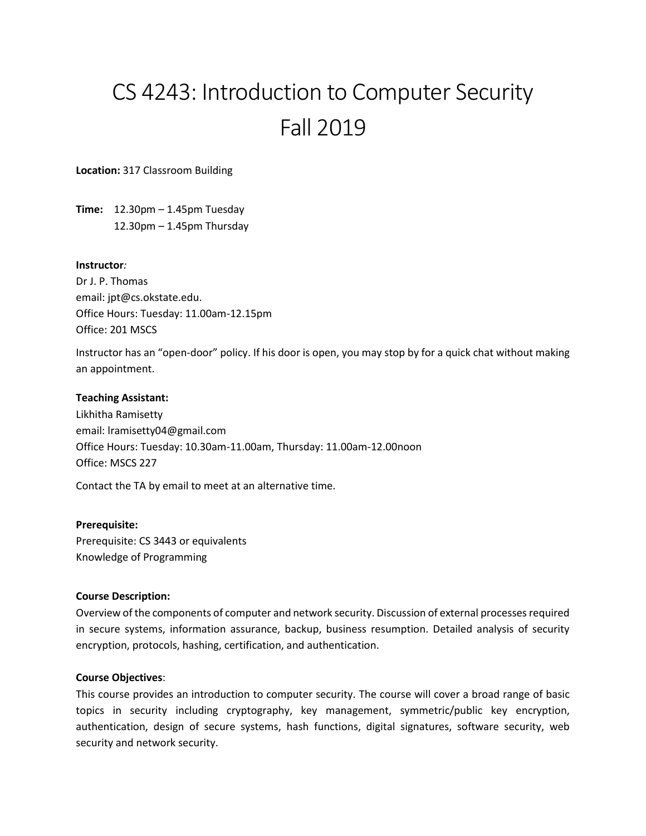# CS 4243: Introduction to Computer Security Fall 2019

**Location:** 317 Classroom Building

**Time:** 12.30pm – 1.45pm Tuesday 12.30pm – 1.45pm Thursday

## **Instructor***:*

Dr J. P. Thomas email: jpt@cs.okstate.edu. Office Hours: Tuesday: 11.00am-12.15pm Office: 201 MSCS

Instructor has an "open-door" policy. If his door is open, you may stop by for a quick chat without making an appointment.

## **Teaching Assistant:**

Likhitha Ramisetty email: lramisetty04@gmail.com Office Hours: Tuesday: 10.30am-11.00am, Thursday: 11.00am-12.00noon Office: MSCS 227

Contact the TA by email to meet at an alternative time.

## **Prerequisite:**

Prerequisite: CS 3443 or equivalents Knowledge of Programming

## **Course Description:**

Overview of the components of computer and network security. Discussion of external processes required in secure systems, information assurance, backup, business resumption. Detailed analysis of security encryption, protocols, hashing, certification, and authentication.

## **Course Objectives**:

This course provides an introduction to computer security. The course will cover a broad range of basic topics in security including cryptography, key management, symmetric/public key encryption, authentication, design of secure systems, hash functions, digital signatures, software security, web security and network security.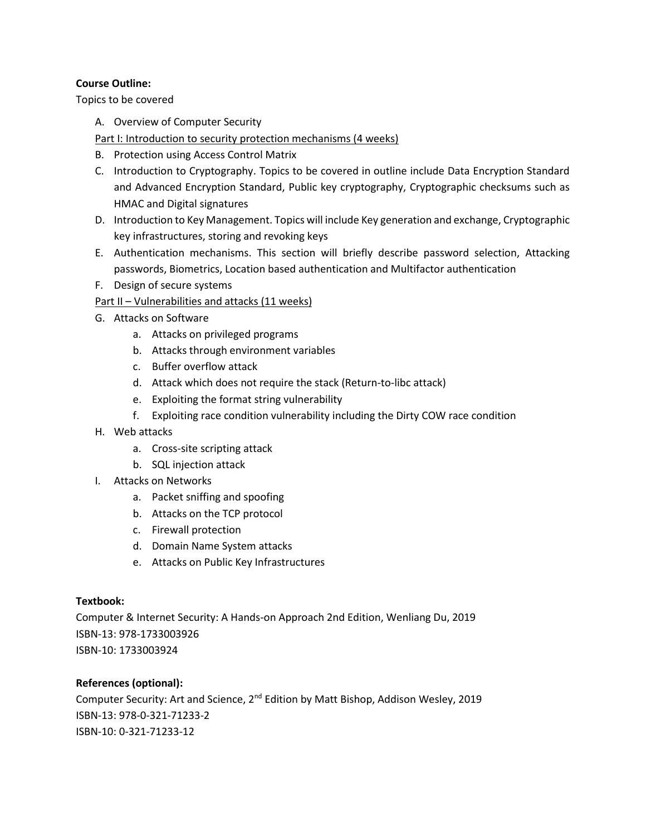# **Course Outline:**

Topics to be covered

A. Overview of Computer Security

Part I: Introduction to security protection mechanisms (4 weeks)

- B. Protection using Access Control Matrix
- C. Introduction to Cryptography. Topics to be covered in outline include Data Encryption Standard and Advanced Encryption Standard, Public key cryptography, Cryptographic checksums such as HMAC and Digital signatures
- D. Introduction to Key Management. Topics will include Key generation and exchange, Cryptographic key infrastructures, storing and revoking keys
- E. Authentication mechanisms. This section will briefly describe password selection, Attacking passwords, Biometrics, Location based authentication and Multifactor authentication
- F. Design of secure systems

Part II - Vulnerabilities and attacks (11 weeks)

- G. Attacks on Software
	- a. Attacks on privileged programs
	- b. Attacks through environment variables
	- c. Buffer overflow attack
	- d. Attack which does not require the stack (Return-to-libc attack)
	- e. Exploiting the format string vulnerability
	- f. Exploiting race condition vulnerability including the Dirty COW race condition
- H. Web attacks
	- a. Cross-site scripting attack
	- b. SQL injection attack
- I. Attacks on Networks
	- a. Packet sniffing and spoofing
	- b. Attacks on the TCP protocol
	- c. Firewall protection
	- d. Domain Name System attacks
	- e. Attacks on Public Key Infrastructures

# **Textbook:**

Computer & Internet Security: A Hands-on Approach 2nd Edition, Wenliang Du, 2019 ISBN-13: 978-1733003926 ISBN-10: 1733003924

# **References (optional):**

Computer Security: Art and Science, 2<sup>nd</sup> Edition by Matt Bishop, Addison Wesley, 2019 ISBN-13: 978-0-321-71233-2 ISBN-10: 0-321-71233-12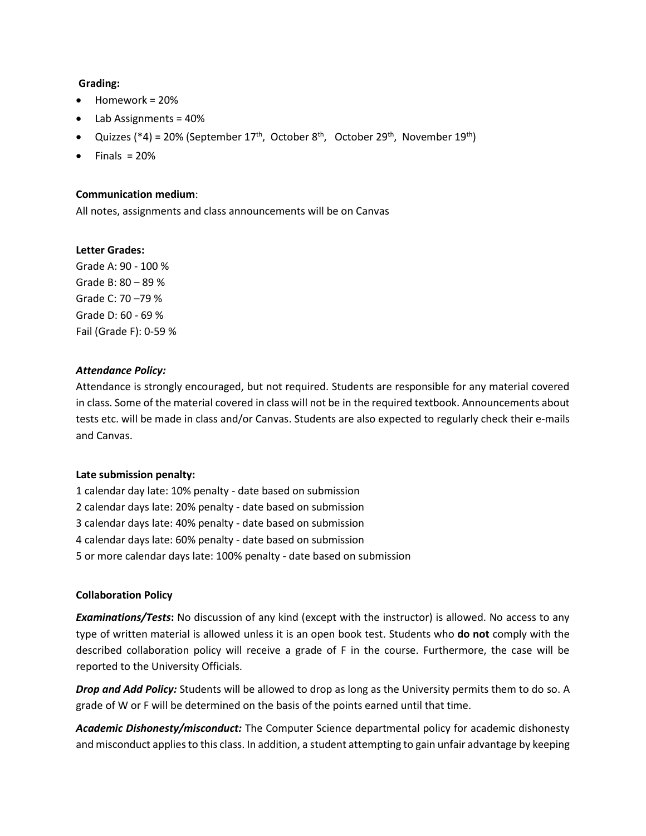## **Grading:**

- Homework = 20%
- Lab Assignments = 40%
- Quizzes (\*4) = 20% (September 17<sup>th</sup>, October 8<sup>th</sup>, October 29<sup>th</sup>, November 19<sup>th</sup>)
- $Finals = 20%$

## **Communication medium**:

All notes, assignments and class announcements will be on Canvas

## **Letter Grades:**

Grade A: 90 - 100 % Grade B: 80 – 89 % Grade C: 70 –79 % Grade D: 60 - 69 % Fail (Grade F): 0-59 %

## *Attendance Policy:*

Attendance is strongly encouraged, but not required. Students are responsible for any material covered in class. Some of the material covered in class will not be in the required textbook. Announcements about tests etc. will be made in class and/or Canvas. Students are also expected to regularly check their e-mails and Canvas.

## **Late submission penalty:**

1 calendar day late: 10% penalty - date based on submission 2 calendar days late: 20% penalty - date based on submission 3 calendar days late: 40% penalty - date based on submission 4 calendar days late: 60% penalty - date based on submission 5 or more calendar days late: 100% penalty - date based on submission

## **Collaboration Policy**

*Examinations/Tests***:** No discussion of any kind (except with the instructor) is allowed. No access to any type of written material is allowed unless it is an open book test. Students who **do not** comply with the described collaboration policy will receive a grade of F in the course. Furthermore, the case will be reported to the University Officials.

*Drop and Add Policy:* Students will be allowed to drop as long as the University permits them to do so. A grade of W or F will be determined on the basis of the points earned until that time.

*Academic Dishonesty/misconduct:* The Computer Science departmental policy for academic dishonesty and misconduct applies to this class. In addition, a student attempting to gain unfair advantage by keeping